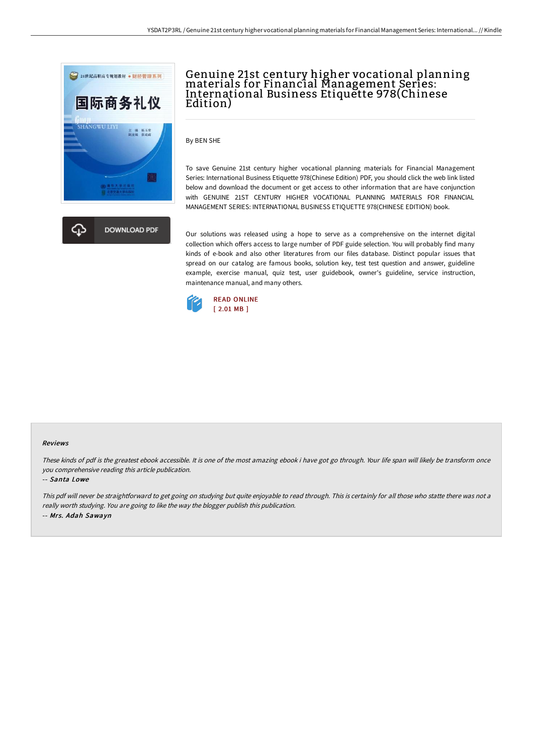



# Genuine 21st century higher vocational planning materials for Financial Management Series: International Business Etiquette 978(Chinese Edition)

By BEN SHE

To save Genuine 21st century higher vocational planning materials for Financial Management Series: International Business Etiquette 978(Chinese Edition) PDF, you should click the web link listed below and download the document or get access to other information that are have conjunction with GENUINE 21ST CENTURY HIGHER VOCATIONAL PLANNING MATERIALS FOR FINANCIAL MANAGEMENT SERIES: INTERNATIONAL BUSINESS ETIQUETTE 978(CHINESE EDITION) book.

Our solutions was released using a hope to serve as a comprehensive on the internet digital collection which offers access to large number of PDF guide selection. You will probably find many kinds of e-book and also other literatures from our files database. Distinct popular issues that spread on our catalog are famous books, solution key, test test question and answer, guideline example, exercise manual, quiz test, user guidebook, owner's guideline, service instruction, maintenance manual, and many others.



#### Reviews

These kinds of pdf is the greatest ebook accessible. It is one of the most amazing ebook i have got go through. Your life span will likely be transform once you comprehensive reading this article publication.

#### -- Santa Lowe

This pdf will never be straightforward to get going on studying but quite enjoyable to read through. This is certainly for all those who statte there was not a really worth studying. You are going to like the way the blogger publish this publication. -- Mrs. Adah Sawayn